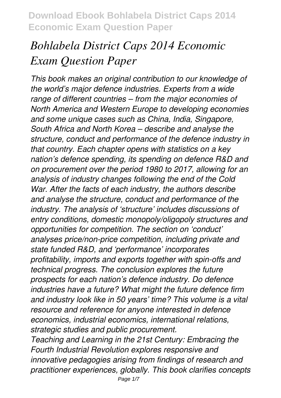# *Bohlabela District Caps 2014 Economic Exam Question Paper*

*This book makes an original contribution to our knowledge of the world's major defence industries. Experts from a wide range of different countries – from the major economies of North America and Western Europe to developing economies and some unique cases such as China, India, Singapore, South Africa and North Korea – describe and analyse the structure, conduct and performance of the defence industry in that country. Each chapter opens with statistics on a key nation's defence spending, its spending on defence R&D and on procurement over the period 1980 to 2017, allowing for an analysis of industry changes following the end of the Cold War. After the facts of each industry, the authors describe and analyse the structure, conduct and performance of the industry. The analysis of 'structure' includes discussions of entry conditions, domestic monopoly/oligopoly structures and opportunities for competition. The section on 'conduct' analyses price/non-price competition, including private and state funded R&D, and 'performance' incorporates profitability, imports and exports together with spin-offs and technical progress. The conclusion explores the future prospects for each nation's defence industry. Do defence industries have a future? What might the future defence firm and industry look like in 50 years' time? This volume is a vital resource and reference for anyone interested in defence economics, industrial economics, international relations, strategic studies and public procurement.*

*Teaching and Learning in the 21st Century: Embracing the Fourth Industrial Revolution explores responsive and innovative pedagogies arising from findings of research and practitioner experiences, globally. This book clarifies concepts*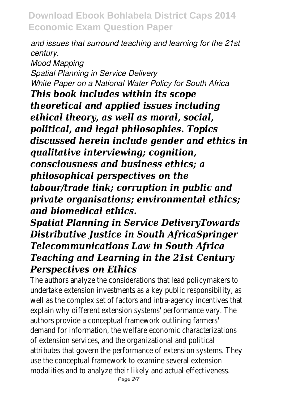*and issues that surround teaching and learning for the 21st century. Mood Mapping Spatial Planning in Service Delivery White Paper on a National Water Policy for South Africa This book includes within its scope theoretical and applied issues including ethical theory, as well as moral, social, political, and legal philosophies. Topics discussed herein include gender and ethics in qualitative interviewing; cognition, consciousness and business ethics; a philosophical perspectives on the labour/trade link; corruption in public and private organisations; environmental ethics; and biomedical ethics.*

## *Spatial Planning in Service DeliveryTowards Distributive Justice in South AfricaSpringer Telecommunications Law in South Africa Teaching and Learning in the 21st Century Perspectives on Ethics*

The authors analyze the considerations that lead policymakers to undertake extension investments as a key public responsibility, a well as the complex set of factors and intra-agency incentives to explain why different extension systems' performance vary. The authors provide a conceptual framework outlining farmers' demand for information, the welfare economic characterizations of extension services, and the organizational and political attributes that govern the performance of extension systems. T use the conceptual framework to examine several extension modalities and to analyze their likely and actual effectiveness.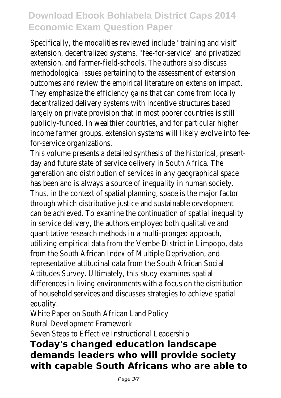Specifically, the modalities reviewed include "training and visit" extension, decentralized systems, "fee-for-service" and privatized extension, and farmer-field-schools. The authors also discuss methodological issues pertaining to the assessment of extension outcomes and review the empirical literature on extension impact They emphasize the efficiency gains that can come from locally decentralized delivery systems with incentive structures based largely on private provision that in most poorer countries is still publicly-funded. In wealthier countries, and for particular higher income farmer groups, extension systems will likely evolve into f for-service organizations.

This volume presents a detailed synthesis of the historical, presentday and future state of service delivery in South Africa. The generation and distribution of services in any geographical space has been and is always a source of inequality in human society. Thus, in the context of spatial planning, space is the major factor through which distributive justice and sustainable development can be achieved. To examine the continuation of spatial inequalit in service delivery, the authors employed both qualitative and quantitative research methods in a multi-pronged approach, utilizing empirical data from the Vembe District in Limpopo, data from the South African Index of Multiple Deprivation, and representative attitudinal data from the South African Social Attitudes Survey. Ultimately, this study examines spatial differences in living environments with a focus on the distribution of household services and discusses strategies to achieve spatial equality.

White Paper on South African Land Policy Rural Development Framework

Seven Steps to Effective Instructional Leadership

#### **Today's changed education landscape demands leaders who will provide society with capable South Africans who are able to**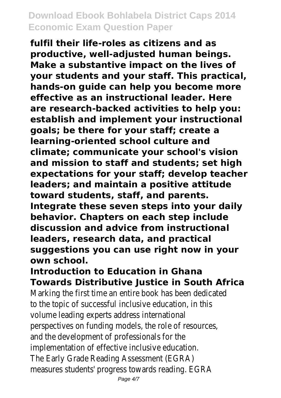**fulfil their life-roles as citizens and as productive, well-adjusted human beings. Make a substantive impact on the lives of your students and your staff. This practical, hands-on guide can help you become more effective as an instructional leader. Here are research-backed activities to help you: establish and implement your instructional goals; be there for your staff; create a learning-oriented school culture and climate; communicate your school's vision and mission to staff and students; set high expectations for your staff; develop teacher leaders; and maintain a positive attitude toward students, staff, and parents. Integrate these seven steps into your daily behavior. Chapters on each step include discussion and advice from instructional**

**leaders, research data, and practical suggestions you can use right now in your own school.**

#### **Introduction to Education in Ghana Towards Distributive Justice in South Africa**

Marking the first time an entire book has been dedicated to the topic of successful inclusive education, in this volume leading experts address international perspectives on funding models, the role of resources, and the development of professionals for the implementation of effective inclusive education. The Early Grade Reading Assessment (EGRA) measures students' progress towards reading. EGRA

Page  $4/7$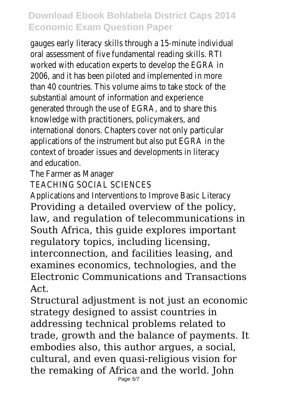gauges early literacy skills through a 15-minute individual oral assessment of five fundamental reading skills. RTI worked with education experts to develop the EGRA in 2006, and it has been piloted and implemented in more than 40 countries. This volume aims to take stock of the substantial amount of information and experience generated through the use of EGRA, and to share this knowledge with practitioners, policymakers, and international donors. Chapters cover not only particular applications of the instrument but also put EGRA in the context of broader issues and developments in literacy and education.

The Farmer as Manager

TEACHING SOCIAL SCIENCES

Applications and Interventions to Improve Basic Literacy Providing a detailed overview of the policy, law, and regulation of telecommunications in South Africa, this guide explores important regulatory topics, including licensing, interconnection, and facilities leasing, and examines economics, technologies, and the Electronic Communications and Transactions Act.

Structural adjustment is not just an economic strategy designed to assist countries in addressing technical problems related to trade, growth and the balance of payments. It embodies also, this author argues, a social, cultural, and even quasi-religious vision for the remaking of Africa and the world. John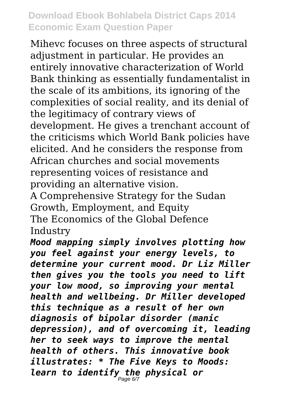Mihevc focuses on three aspects of structural adjustment in particular. He provides an entirely innovative characterization of World Bank thinking as essentially fundamentalist in the scale of its ambitions, its ignoring of the complexities of social reality, and its denial of the legitimacy of contrary views of development. He gives a trenchant account of the criticisms which World Bank policies have elicited. And he considers the response from African churches and social movements representing voices of resistance and providing an alternative vision.

A Comprehensive Strategy for the Sudan Growth, Employment, and Equity The Economics of the Global Defence Industry

*Mood mapping simply involves plotting how you feel against your energy levels, to determine your current mood. Dr Liz Miller then gives you the tools you need to lift your low mood, so improving your mental health and wellbeing. Dr Miller developed this technique as a result of her own diagnosis of bipolar disorder (manic depression), and of overcoming it, leading her to seek ways to improve the mental health of others. This innovative book illustrates: \* The Five Keys to Moods: learn to identify the physical or* Page 6/7